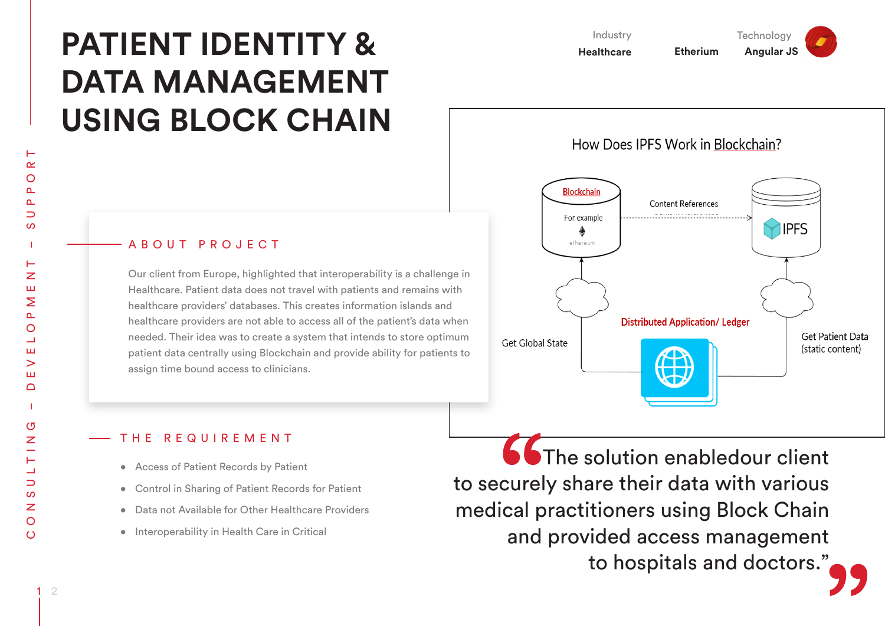# **PATIENT IDENTITY & DATA MANAGEMENT USING BLOCK CHAIN**

Industry **Healthcare Etherium Angular JS** 

How Does IPFS Work in Blockchain?

**Technology** 



#### A B O U T P R O J E C T

Our client from Europe, highlighted that interoperability is a challenge in Healthcare. Patient data does not travel with patients and remains with healthcare providers' databases. This creates information islands and healthcare providers are not able to access all of the patient's data when needed. Their idea was to create a system that intends to store optimum patient data centrally using Blockchain and provide ability for patients to assign time bound access to clinicians.

### THE REQUIREMENT

- • Access of Patient Records by Patient
- • Control in Sharing of Patient Records for Patient
- • Data not Available for Other Healthcare Providers
- • Interoperability in Health Care in Critical

**66** The solution enabledour client to securely share their data with various medical practitioners using Block Chain and provided access management to hospitals and doctors."